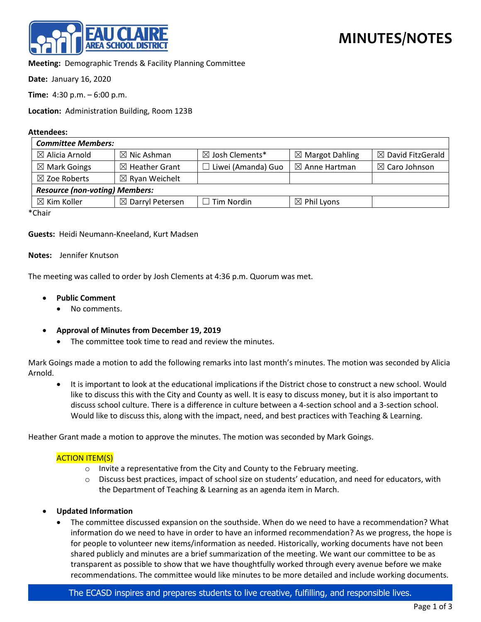

**Meeting:** Demographic Trends & Facility Planning Committee

**Date:** January 16, 2020

**Time:** 4:30 p.m. – 6:00 p.m.

**Location:** Administration Building, Room 123B

#### **Attendees:**

| <b>Committee Members:</b>             |                             |                               |                            |                              |
|---------------------------------------|-----------------------------|-------------------------------|----------------------------|------------------------------|
| $\boxtimes$ Alicia Arnold             | $\boxtimes$ Nic Ashman      | $\boxtimes$ Josh Clements*    | $\boxtimes$ Margot Dahling | $\boxtimes$ David FitzGerald |
| $\boxtimes$ Mark Goings               | $\boxtimes$ Heather Grant   | Liwei (Amanda) Guo<br>$\perp$ | $\boxtimes$ Anne Hartman   | $\boxtimes$ Caro Johnson     |
| $\boxtimes$ Zoe Roberts               | $\boxtimes$ Ryan Weichelt   |                               |                            |                              |
| <b>Resource (non-voting) Members:</b> |                             |                               |                            |                              |
| $\boxtimes$ Kim Koller                | $\boxtimes$ Darryl Petersen | $\Box$ Tim Nordin             | $\boxtimes$ Phil Lyons     |                              |
| $\sim$                                |                             |                               |                            |                              |

\*Chair

**Guests:** Heidi Neumann-Kneeland, Kurt Madsen

**Notes:** Jennifer Knutson

The meeting was called to order by Josh Clements at 4:36 p.m. Quorum was met.

- **Public Comment**
	- No comments.
- **Approval of Minutes from December 19, 2019**
	- The committee took time to read and review the minutes.

Mark Goings made a motion to add the following remarks into last month's minutes. The motion was seconded by Alicia Arnold.

• It is important to look at the educational implications if the District chose to construct a new school. Would like to discuss this with the City and County as well. It is easy to discuss money, but it is also important to discuss school culture. There is a difference in culture between a 4-section school and a 3-section school. Would like to discuss this, along with the impact, need, and best practices with Teaching & Learning.

Heather Grant made a motion to approve the minutes. The motion was seconded by Mark Goings.

### ACTION ITEM(S)

- $\circ$  Invite a representative from the City and County to the February meeting.
- o Discuss best practices, impact of school size on students' education, and need for educators, with the Department of Teaching & Learning as an agenda item in March.

### • **Updated Information**

• The committee discussed expansion on the southside. When do we need to have a recommendation? What information do we need to have in order to have an informed recommendation? As we progress, the hope is for people to volunteer new items/information as needed. Historically, working documents have not been shared publicly and minutes are a brief summarization of the meeting. We want our committee to be as transparent as possible to show that we have thoughtfully worked through every avenue before we make recommendations. The committee would like minutes to be more detailed and include working documents.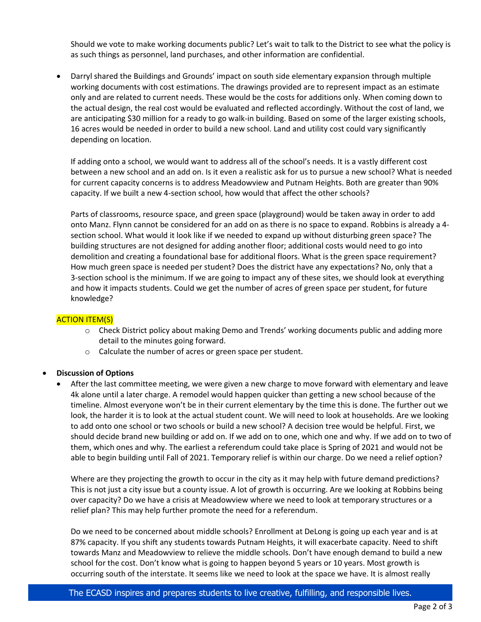Should we vote to make working documents public? Let's wait to talk to the District to see what the policy is as such things as personnel, land purchases, and other information are confidential.

• Darryl shared the Buildings and Grounds' impact on south side elementary expansion through multiple working documents with cost estimations. The drawings provided are to represent impact as an estimate only and are related to current needs. These would be the costs for additions only. When coming down to the actual design, the real cost would be evaluated and reflected accordingly. Without the cost of land, we are anticipating \$30 million for a ready to go walk-in building. Based on some of the larger existing schools, 16 acres would be needed in order to build a new school. Land and utility cost could vary significantly depending on location.

If adding onto a school, we would want to address all of the school's needs. It is a vastly different cost between a new school and an add on. Is it even a realistic ask for us to pursue a new school? What is needed for current capacity concerns is to address Meadowview and Putnam Heights. Both are greater than 90% capacity. If we built a new 4-section school, how would that affect the other schools?

Parts of classrooms, resource space, and green space (playground) would be taken away in order to add onto Manz. Flynn cannot be considered for an add on as there is no space to expand. Robbins is already a 4 section school. What would it look like if we needed to expand up without disturbing green space? The building structures are not designed for adding another floor; additional costs would need to go into demolition and creating a foundational base for additional floors. What is the green space requirement? How much green space is needed per student? Does the district have any expectations? No, only that a 3-section school is the minimum. If we are going to impact any of these sites, we should look at everything and how it impacts students. Could we get the number of acres of green space per student, for future knowledge?

# ACTION ITEM(S)

- o Check District policy about making Demo and Trends' working documents public and adding more detail to the minutes going forward.
- o Calculate the number of acres or green space per student.

# • **Discussion of Options**

• After the last committee meeting, we were given a new charge to move forward with elementary and leave 4k alone until a later charge. A remodel would happen quicker than getting a new school because of the timeline. Almost everyone won't be in their current elementary by the time this is done. The further out we look, the harder it is to look at the actual student count. We will need to look at households. Are we looking to add onto one school or two schools or build a new school? A decision tree would be helpful. First, we should decide brand new building or add on. If we add on to one, which one and why. If we add on to two of them, which ones and why. The earliest a referendum could take place is Spring of 2021 and would not be able to begin building until Fall of 2021. Temporary relief is within our charge. Do we need a relief option?

Where are they projecting the growth to occur in the city as it may help with future demand predictions? This is not just a city issue but a county issue. A lot of growth is occurring. Are we looking at Robbins being over capacity? Do we have a crisis at Meadowview where we need to look at temporary structures or a relief plan? This may help further promote the need for a referendum.

Do we need to be concerned about middle schools? Enrollment at DeLong is going up each year and is at 87% capacity. If you shift any students towards Putnam Heights, it will exacerbate capacity. Need to shift towards Manz and Meadowview to relieve the middle schools. Don't have enough demand to build a new school for the cost. Don't know what is going to happen beyond 5 years or 10 years. Most growth is occurring south of the interstate. It seems like we need to look at the space we have. It is almost really